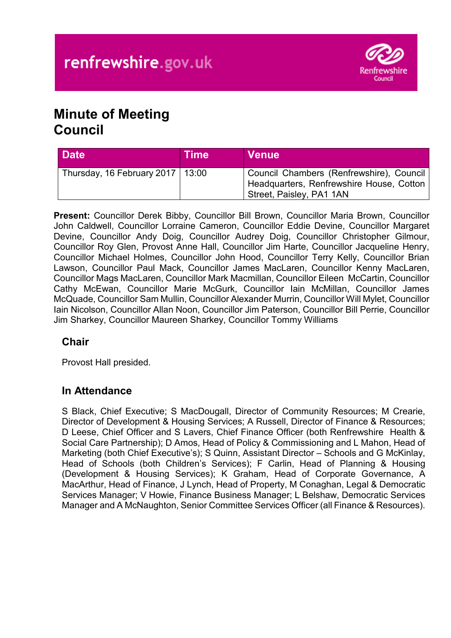

# **Minute of Meeting Council**

| <b>Date</b>                        | <b>Time</b> | <b>Venue</b>                                                                                                       |
|------------------------------------|-------------|--------------------------------------------------------------------------------------------------------------------|
| Thursday, 16 February 2017   13:00 |             | Council Chambers (Renfrewshire), Council  <br>Headquarters, Renfrewshire House, Cotton<br>Street, Paisley, PA1 1AN |

**Present:** Councillor Derek Bibby, Councillor Bill Brown, Councillor Maria Brown, Councillor John Caldwell, Councillor Lorraine Cameron, Councillor Eddie Devine, Councillor Margaret Devine, Councillor Andy Doig, Councillor Audrey Doig, Councillor Christopher Gilmour, Councillor Roy Glen, Provost Anne Hall, Councillor Jim Harte, Councillor Jacqueline Henry, Councillor Michael Holmes, Councillor John Hood, Councillor Terry Kelly, Councillor Brian Lawson, Councillor Paul Mack, Councillor James MacLaren, Councillor Kenny MacLaren, Councillor Mags MacLaren, Councillor Mark Macmillan, Councillor Eileen McCartin, Councillor Cathy McEwan, Councillor Marie McGurk, Councillor Iain McMillan, Councillor James McQuade, Councillor Sam Mullin, Councillor Alexander Murrin, Councillor Will Mylet, Councillor Iain Nicolson, Councillor Allan Noon, Councillor Jim Paterson, Councillor Bill Perrie, Councillor Jim Sharkey, Councillor Maureen Sharkey, Councillor Tommy Williams

# **Chair**

Provost Hall presided.

## **In Attendance**

S Black, Chief Executive; S MacDougall, Director of Community Resources; M Crearie, Director of Development & Housing Services; A Russell, Director of Finance & Resources; D Leese, Chief Officer and S Lavers, Chief Finance Officer (both Renfrewshire Health & Social Care Partnership); D Amos, Head of Policy & Commissioning and L Mahon, Head of Marketing (both Chief Executive's); S Quinn, Assistant Director – Schools and G McKinlay, Head of Schools (both Children's Services); F Carlin, Head of Planning & Housing (Development & Housing Services); K Graham, Head of Corporate Governance, A MacArthur, Head of Finance, J Lynch, Head of Property, M Conaghan, Legal & Democratic Services Manager; V Howie, Finance Business Manager; L Belshaw, Democratic Services Manager and A McNaughton, Senior Committee Services Officer (all Finance & Resources).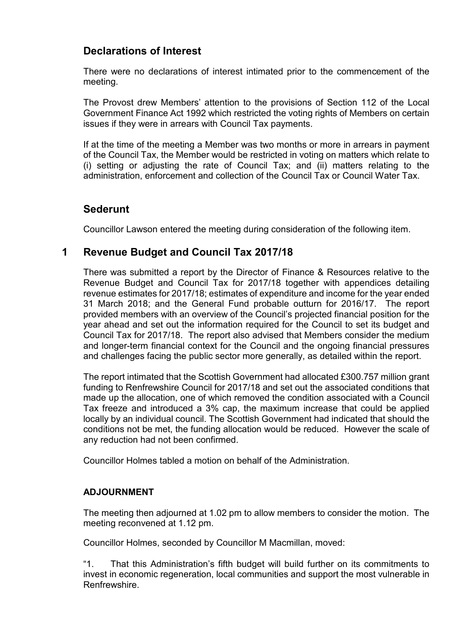## **Declarations of Interest**

There were no declarations of interest intimated prior to the commencement of the meeting.

The Provost drew Members' attention to the provisions of Section 112 of the Local Government Finance Act 1992 which restricted the voting rights of Members on certain issues if they were in arrears with Council Tax payments.

If at the time of the meeting a Member was two months or more in arrears in payment of the Council Tax, the Member would be restricted in voting on matters which relate to (i) setting or adjusting the rate of Council Tax; and (ii) matters relating to the administration, enforcement and collection of the Council Tax or Council Water Tax.

## **Sederunt**

Councillor Lawson entered the meeting during consideration of the following item.

## **1 Revenue Budget and Council Tax 2017/18**

There was submitted a report by the Director of Finance & Resources relative to the Revenue Budget and Council Tax for 2017/18 together with appendices detailing revenue estimates for 2017/18; estimates of expenditure and income for the year ended 31 March 2018; and the General Fund probable outturn for 2016/17. The report provided members with an overview of the Council's projected financial position for the year ahead and set out the information required for the Council to set its budget and Council Tax for 2017/18. The report also advised that Members consider the medium and longer-term financial context for the Council and the ongoing financial pressures and challenges facing the public sector more generally, as detailed within the report.

The report intimated that the Scottish Government had allocated £300.757 million grant funding to Renfrewshire Council for 2017/18 and set out the associated conditions that made up the allocation, one of which removed the condition associated with a Council Tax freeze and introduced a 3% cap, the maximum increase that could be applied locally by an individual council. The Scottish Government had indicated that should the conditions not be met, the funding allocation would be reduced. However the scale of any reduction had not been confirmed.

Councillor Holmes tabled a motion on behalf of the Administration.

#### **ADJOURNMENT**

The meeting then adjourned at 1.02 pm to allow members to consider the motion. The meeting reconvened at 1.12 pm.

Councillor Holmes, seconded by Councillor M Macmillan, moved:

"1. That this Administration's fifth budget will build further on its commitments to invest in economic regeneration, local communities and support the most vulnerable in Renfrewshire.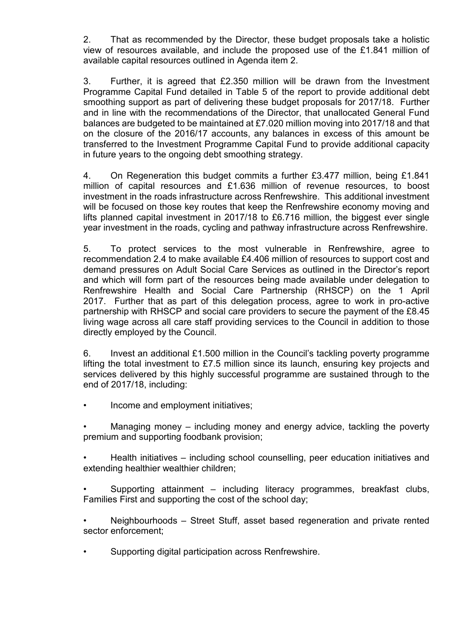2. That as recommended by the Director, these budget proposals take a holistic view of resources available, and include the proposed use of the £1.841 million of available capital resources outlined in Agenda item 2.

3. Further, it is agreed that £2.350 million will be drawn from the Investment Programme Capital Fund detailed in Table 5 of the report to provide additional debt smoothing support as part of delivering these budget proposals for 2017/18. Further and in line with the recommendations of the Director, that unallocated General Fund balances are budgeted to be maintained at £7.020 million moving into 2017/18 and that on the closure of the 2016/17 accounts, any balances in excess of this amount be transferred to the Investment Programme Capital Fund to provide additional capacity in future years to the ongoing debt smoothing strategy.

4. On Regeneration this budget commits a further £3.477 million, being £1.841 million of capital resources and £1.636 million of revenue resources, to boost investment in the roads infrastructure across Renfrewshire. This additional investment will be focused on those key routes that keep the Renfrewshire economy moving and lifts planned capital investment in 2017/18 to £6.716 million, the biggest ever single year investment in the roads, cycling and pathway infrastructure across Renfrewshire.

5. To protect services to the most vulnerable in Renfrewshire, agree to recommendation 2.4 to make available £4.406 million of resources to support cost and demand pressures on Adult Social Care Services as outlined in the Director's report and which will form part of the resources being made available under delegation to Renfrewshire Health and Social Care Partnership (RHSCP) on the 1 April 2017. Further that as part of this delegation process, agree to work in pro-active partnership with RHSCP and social care providers to secure the payment of the £8.45 living wage across all care staff providing services to the Council in addition to those directly employed by the Council.

6. Invest an additional £1.500 million in the Council's tackling poverty programme lifting the total investment to £7.5 million since its launch, ensuring key projects and services delivered by this highly successful programme are sustained through to the end of 2017/18, including:

• Income and employment initiatives;

Managing money – including money and energy advice, tackling the poverty premium and supporting foodbank provision;

• Health initiatives – including school counselling, peer education initiatives and extending healthier wealthier children;

• Supporting attainment – including literacy programmes, breakfast clubs, Families First and supporting the cost of the school day;

• Neighbourhoods – Street Stuff, asset based regeneration and private rented sector enforcement;

• Supporting digital participation across Renfrewshire.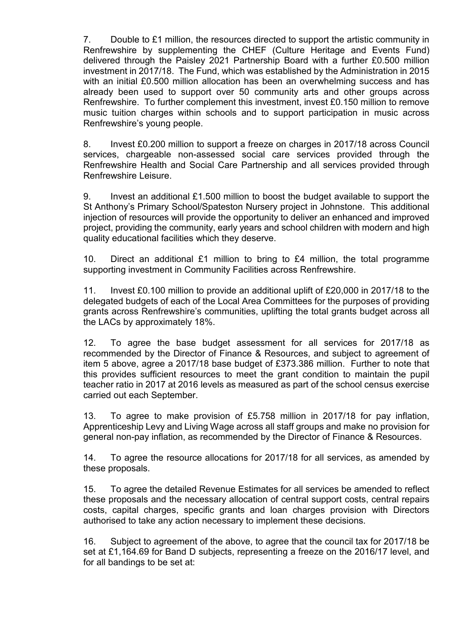7. Double to £1 million, the resources directed to support the artistic community in Renfrewshire by supplementing the CHEF (Culture Heritage and Events Fund) delivered through the Paisley 2021 Partnership Board with a further £0.500 million investment in 2017/18. The Fund, which was established by the Administration in 2015 with an initial £0.500 million allocation has been an overwhelming success and has already been used to support over 50 community arts and other groups across Renfrewshire. To further complement this investment, invest £0.150 million to remove music tuition charges within schools and to support participation in music across Renfrewshire's young people.

8. Invest £0.200 million to support a freeze on charges in 2017/18 across Council services, chargeable non-assessed social care services provided through the Renfrewshire Health and Social Care Partnership and all services provided through Renfrewshire Leisure.

9. Invest an additional £1.500 million to boost the budget available to support the St Anthony's Primary School/Spateston Nursery project in Johnstone. This additional injection of resources will provide the opportunity to deliver an enhanced and improved project, providing the community, early years and school children with modern and high quality educational facilities which they deserve.

10. Direct an additional £1 million to bring to £4 million, the total programme supporting investment in Community Facilities across Renfrewshire.

11. Invest £0.100 million to provide an additional uplift of £20,000 in 2017/18 to the delegated budgets of each of the Local Area Committees for the purposes of providing grants across Renfrewshire's communities, uplifting the total grants budget across all the LACs by approximately 18%.

12. To agree the base budget assessment for all services for 2017/18 as recommended by the Director of Finance & Resources, and subject to agreement of item 5 above, agree a 2017/18 base budget of £373.386 million. Further to note that this provides sufficient resources to meet the grant condition to maintain the pupil teacher ratio in 2017 at 2016 levels as measured as part of the school census exercise carried out each September.

13. To agree to make provision of £5.758 million in 2017/18 for pay inflation, Apprenticeship Levy and Living Wage across all staff groups and make no provision for general non-pay inflation, as recommended by the Director of Finance & Resources.

14. To agree the resource allocations for 2017/18 for all services, as amended by these proposals.

15. To agree the detailed Revenue Estimates for all services be amended to reflect these proposals and the necessary allocation of central support costs, central repairs costs, capital charges, specific grants and loan charges provision with Directors authorised to take any action necessary to implement these decisions.

16. Subject to agreement of the above, to agree that the council tax for 2017/18 be set at £1,164.69 for Band D subjects, representing a freeze on the 2016/17 level, and for all bandings to be set at: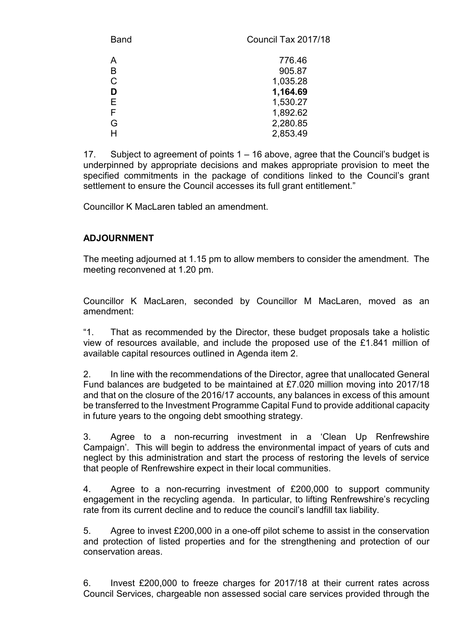| Council Tax 2017/18 |
|---------------------|
| 776.46              |
| 905.87              |
| 1,035.28            |
| 1,164.69            |
| 1,530.27            |
| 1,892.62            |
| 2,280.85            |
| 2,853.49            |
|                     |

17. Subject to agreement of points 1 – 16 above, agree that the Council's budget is underpinned by appropriate decisions and makes appropriate provision to meet the specified commitments in the package of conditions linked to the Council's grant settlement to ensure the Council accesses its full grant entitlement."

Councillor K MacLaren tabled an amendment.

#### **ADJOURNMENT**

The meeting adjourned at 1.15 pm to allow members to consider the amendment. The meeting reconvened at 1.20 pm.

Councillor K MacLaren, seconded by Councillor M MacLaren, moved as an amendment:

"1. That as recommended by the Director, these budget proposals take a holistic view of resources available, and include the proposed use of the £1.841 million of available capital resources outlined in Agenda item 2.

2. In line with the recommendations of the Director, agree that unallocated General Fund balances are budgeted to be maintained at £7.020 million moving into 2017/18 and that on the closure of the 2016/17 accounts, any balances in excess of this amount be transferred to the Investment Programme Capital Fund to provide additional capacity in future years to the ongoing debt smoothing strategy.

3. Agree to a non-recurring investment in a 'Clean Up Renfrewshire Campaign'. This will begin to address the environmental impact of years of cuts and neglect by this administration and start the process of restoring the levels of service that people of Renfrewshire expect in their local communities.

4. Agree to a non-recurring investment of £200,000 to support community engagement in the recycling agenda. In particular, to lifting Renfrewshire's recycling rate from its current decline and to reduce the council's landfill tax liability.

5. Agree to invest £200,000 in a one-off pilot scheme to assist in the conservation and protection of listed properties and for the strengthening and protection of our conservation areas.

6. Invest £200,000 to freeze charges for 2017/18 at their current rates across Council Services, chargeable non assessed social care services provided through the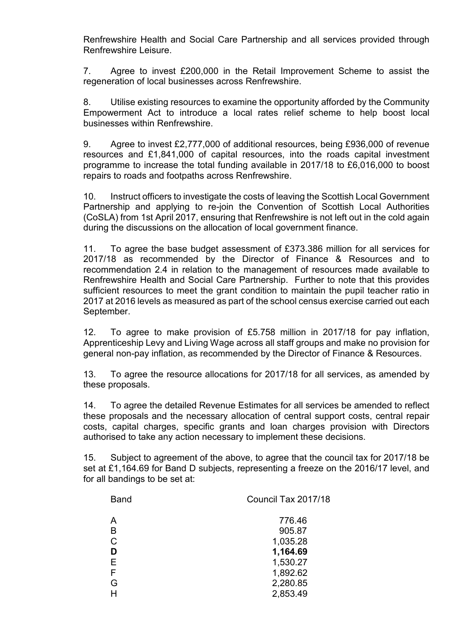Renfrewshire Health and Social Care Partnership and all services provided through Renfrewshire Leisure.

7. Agree to invest £200,000 in the Retail Improvement Scheme to assist the regeneration of local businesses across Renfrewshire.

8. Utilise existing resources to examine the opportunity afforded by the Community Empowerment Act to introduce a local rates relief scheme to help boost local businesses within Renfrewshire.

9. Agree to invest £2,777,000 of additional resources, being £936,000 of revenue resources and £1,841,000 of capital resources, into the roads capital investment programme to increase the total funding available in 2017/18 to £6,016,000 to boost repairs to roads and footpaths across Renfrewshire.

10. Instruct officers to investigate the costs of leaving the Scottish Local Government Partnership and applying to re-join the Convention of Scottish Local Authorities (CoSLA) from 1st April 2017, ensuring that Renfrewshire is not left out in the cold again during the discussions on the allocation of local government finance.

11. To agree the base budget assessment of £373.386 million for all services for 2017/18 as recommended by the Director of Finance & Resources and to recommendation 2.4 in relation to the management of resources made available to Renfrewshire Health and Social Care Partnership. Further to note that this provides sufficient resources to meet the grant condition to maintain the pupil teacher ratio in 2017 at 2016 levels as measured as part of the school census exercise carried out each September.

12. To agree to make provision of £5.758 million in 2017/18 for pay inflation, Apprenticeship Levy and Living Wage across all staff groups and make no provision for general non-pay inflation, as recommended by the Director of Finance & Resources.

13. To agree the resource allocations for 2017/18 for all services, as amended by these proposals.

14. To agree the detailed Revenue Estimates for all services be amended to reflect these proposals and the necessary allocation of central support costs, central repair costs, capital charges, specific grants and loan charges provision with Directors authorised to take any action necessary to implement these decisions.

15. Subject to agreement of the above, to agree that the council tax for 2017/18 be set at £1,164.69 for Band D subjects, representing a freeze on the 2016/17 level, and for all bandings to be set at:

| <b>Band</b> | Council Tax 2017/18 |
|-------------|---------------------|
| А           | 776.46              |
| В           | 905.87              |
| C           | 1,035.28            |
| D           | 1,164.69            |
| Е           | 1,530.27            |
| F           | 1,892.62            |
| G           | 2,280.85            |
|             | 2,853.49            |
|             |                     |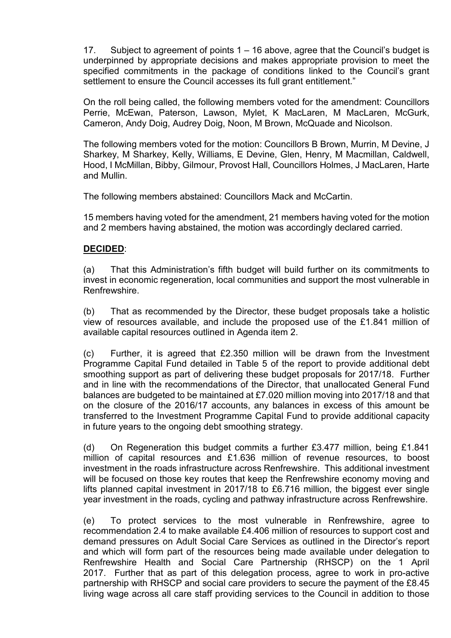17. Subject to agreement of points 1 – 16 above, agree that the Council's budget is underpinned by appropriate decisions and makes appropriate provision to meet the specified commitments in the package of conditions linked to the Council's grant settlement to ensure the Council accesses its full grant entitlement."

On the roll being called, the following members voted for the amendment: Councillors Perrie, McEwan, Paterson, Lawson, Mylet, K MacLaren, M MacLaren, McGurk, Cameron, Andy Doig, Audrey Doig, Noon, M Brown, McQuade and Nicolson.

The following members voted for the motion: Councillors B Brown, Murrin, M Devine, J Sharkey, M Sharkey, Kelly, Williams, E Devine, Glen, Henry, M Macmillan, Caldwell, Hood, I McMillan, Bibby, Gilmour, Provost Hall, Councillors Holmes, J MacLaren, Harte and Mullin.

The following members abstained: Councillors Mack and McCartin.

15 members having voted for the amendment, 21 members having voted for the motion and 2 members having abstained, the motion was accordingly declared carried.

#### **DECIDED**:

(a) That this Administration's fifth budget will build further on its commitments to invest in economic regeneration, local communities and support the most vulnerable in Renfrewshire.

(b) That as recommended by the Director, these budget proposals take a holistic view of resources available, and include the proposed use of the £1.841 million of available capital resources outlined in Agenda item 2.

(c) Further, it is agreed that £2.350 million will be drawn from the Investment Programme Capital Fund detailed in Table 5 of the report to provide additional debt smoothing support as part of delivering these budget proposals for 2017/18. Further and in line with the recommendations of the Director, that unallocated General Fund balances are budgeted to be maintained at £7.020 million moving into 2017/18 and that on the closure of the 2016/17 accounts, any balances in excess of this amount be transferred to the Investment Programme Capital Fund to provide additional capacity in future years to the ongoing debt smoothing strategy.

(d) On Regeneration this budget commits a further £3.477 million, being £1.841 million of capital resources and £1.636 million of revenue resources, to boost investment in the roads infrastructure across Renfrewshire. This additional investment will be focused on those key routes that keep the Renfrewshire economy moving and lifts planned capital investment in 2017/18 to £6.716 million, the biggest ever single year investment in the roads, cycling and pathway infrastructure across Renfrewshire.

(e) To protect services to the most vulnerable in Renfrewshire, agree to recommendation 2.4 to make available £4.406 million of resources to support cost and demand pressures on Adult Social Care Services as outlined in the Director's report and which will form part of the resources being made available under delegation to Renfrewshire Health and Social Care Partnership (RHSCP) on the 1 April 2017. Further that as part of this delegation process, agree to work in pro-active partnership with RHSCP and social care providers to secure the payment of the £8.45 living wage across all care staff providing services to the Council in addition to those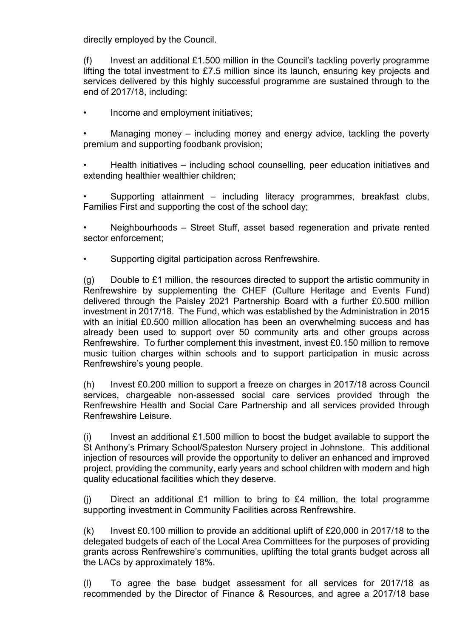directly employed by the Council.

 $(f)$  Invest an additional £1.500 million in the Council's tackling poverty programme lifting the total investment to £7.5 million since its launch, ensuring key projects and services delivered by this highly successful programme are sustained through to the end of 2017/18, including:

• Income and employment initiatives;

Managing money – including money and energy advice, tackling the poverty premium and supporting foodbank provision;

• Health initiatives – including school counselling, peer education initiatives and extending healthier wealthier children;

• Supporting attainment – including literacy programmes, breakfast clubs, Families First and supporting the cost of the school day;

• Neighbourhoods – Street Stuff, asset based regeneration and private rented sector enforcement;

• Supporting digital participation across Renfrewshire.

 $(q)$  Double to £1 million, the resources directed to support the artistic community in Renfrewshire by supplementing the CHEF (Culture Heritage and Events Fund) delivered through the Paisley 2021 Partnership Board with a further £0.500 million investment in 2017/18. The Fund, which was established by the Administration in 2015 with an initial £0.500 million allocation has been an overwhelming success and has already been used to support over 50 community arts and other groups across Renfrewshire. To further complement this investment, invest £0.150 million to remove music tuition charges within schools and to support participation in music across Renfrewshire's young people.

(h) Invest £0.200 million to support a freeze on charges in 2017/18 across Council services, chargeable non-assessed social care services provided through the Renfrewshire Health and Social Care Partnership and all services provided through Renfrewshire Leisure.

 $(i)$  Invest an additional £1.500 million to boost the budget available to support the St Anthony's Primary School/Spateston Nursery project in Johnstone. This additional injection of resources will provide the opportunity to deliver an enhanced and improved project, providing the community, early years and school children with modern and high quality educational facilities which they deserve.

(i) Direct an additional  $£1$  million to bring to  $£4$  million, the total programme supporting investment in Community Facilities across Renfrewshire.

(k) Invest £0.100 million to provide an additional uplift of  $£20,000$  in 2017/18 to the delegated budgets of each of the Local Area Committees for the purposes of providing grants across Renfrewshire's communities, uplifting the total grants budget across all the LACs by approximately 18%.

(l) To agree the base budget assessment for all services for 2017/18 as recommended by the Director of Finance & Resources, and agree a 2017/18 base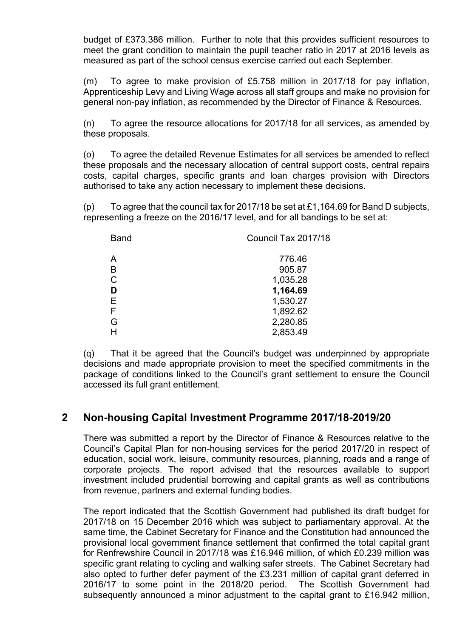budget of £373.386 million. Further to note that this provides sufficient resources to meet the grant condition to maintain the pupil teacher ratio in 2017 at 2016 levels as measured as part of the school census exercise carried out each September.

(m) To agree to make provision of £5.758 million in 2017/18 for pay inflation, Apprenticeship Levy and Living Wage across all staff groups and make no provision for general non-pay inflation, as recommended by the Director of Finance & Resources.

(n) To agree the resource allocations for 2017/18 for all services, as amended by these proposals.

(o) To agree the detailed Revenue Estimates for all services be amended to reflect these proposals and the necessary allocation of central support costs, central repairs costs, capital charges, specific grants and loan charges provision with Directors authorised to take any action necessary to implement these decisions.

(p) To agree that the council tax for 2017/18 be set at £1,164.69 for Band D subjects, representing a freeze on the 2016/17 level, and for all bandings to be set at:

| <b>Band</b> | Council Tax 2017/18 |
|-------------|---------------------|
| Α           | 776.46              |
| в           | 905.87              |
| C           | 1,035.28            |
| D           | 1,164.69            |
| Е           | 1,530.27            |
| F           | 1,892.62            |
| G           | 2,280.85            |
|             | 2,853.49            |

(q) That it be agreed that the Council's budget was underpinned by appropriate decisions and made appropriate provision to meet the specified commitments in the package of conditions linked to the Council's grant settlement to ensure the Council accessed its full grant entitlement.

## **2 Non-housing Capital Investment Programme 2017/18-2019/20**

There was submitted a report by the Director of Finance & Resources relative to the Council's Capital Plan for non-housing services for the period 2017/20 in respect of education, social work, leisure, community resources, planning, roads and a range of corporate projects. The report advised that the resources available to support investment included prudential borrowing and capital grants as well as contributions from revenue, partners and external funding bodies.

The report indicated that the Scottish Government had published its draft budget for 2017/18 on 15 December 2016 which was subject to parliamentary approval. At the same time, the Cabinet Secretary for Finance and the Constitution had announced the provisional local government finance settlement that confirmed the total capital grant for Renfrewshire Council in 2017/18 was £16.946 million, of which £0.239 million was specific grant relating to cycling and walking safer streets. The Cabinet Secretary had also opted to further defer payment of the £3.231 million of capital grant deferred in 2016/17 to some point in the 2018/20 period. The Scottish Government had subsequently announced a minor adjustment to the capital grant to £16.942 million,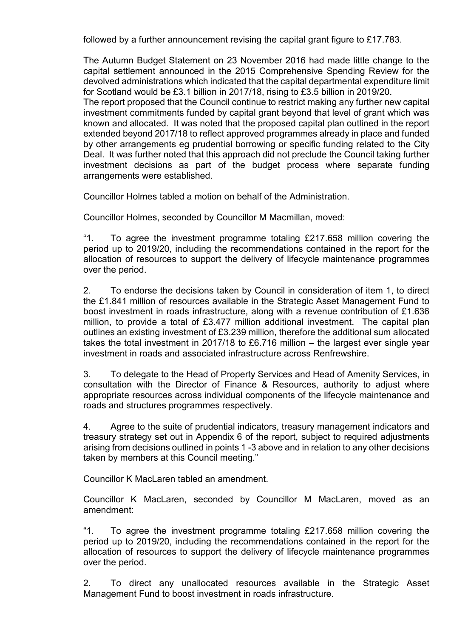followed by a further announcement revising the capital grant figure to £17.783.

The Autumn Budget Statement on 23 November 2016 had made little change to the capital settlement announced in the 2015 Comprehensive Spending Review for the devolved administrations which indicated that the capital departmental expenditure limit for Scotland would be £3.1 billion in 2017/18, rising to £3.5 billion in 2019/20.

The report proposed that the Council continue to restrict making any further new capital investment commitments funded by capital grant beyond that level of grant which was known and allocated. It was noted that the proposed capital plan outlined in the report extended beyond 2017/18 to reflect approved programmes already in place and funded by other arrangements eg prudential borrowing or specific funding related to the City Deal. It was further noted that this approach did not preclude the Council taking further investment decisions as part of the budget process where separate funding arrangements were established.

Councillor Holmes tabled a motion on behalf of the Administration.

Councillor Holmes, seconded by Councillor M Macmillan, moved:

"1. To agree the investment programme totaling £217.658 million covering the period up to 2019/20, including the recommendations contained in the report for the allocation of resources to support the delivery of lifecycle maintenance programmes over the period.

2. To endorse the decisions taken by Council in consideration of item 1, to direct the £1.841 million of resources available in the Strategic Asset Management Fund to boost investment in roads infrastructure, along with a revenue contribution of £1.636 million, to provide a total of £3.477 million additional investment. The capital plan outlines an existing investment of £3.239 million, therefore the additional sum allocated takes the total investment in 2017/18 to £6.716 million – the largest ever single year investment in roads and associated infrastructure across Renfrewshire.

3. To delegate to the Head of Property Services and Head of Amenity Services, in consultation with the Director of Finance & Resources, authority to adjust where appropriate resources across individual components of the lifecycle maintenance and roads and structures programmes respectively.

4. Agree to the suite of prudential indicators, treasury management indicators and treasury strategy set out in Appendix 6 of the report, subject to required adjustments arising from decisions outlined in points 1 -3 above and in relation to any other decisions taken by members at this Council meeting."

Councillor K MacLaren tabled an amendment

Councillor K MacLaren, seconded by Councillor M MacLaren, moved as an amendment:

"1. To agree the investment programme totaling £217.658 million covering the period up to 2019/20, including the recommendations contained in the report for the allocation of resources to support the delivery of lifecycle maintenance programmes over the period.

2. To direct any unallocated resources available in the Strategic Asset Management Fund to boost investment in roads infrastructure.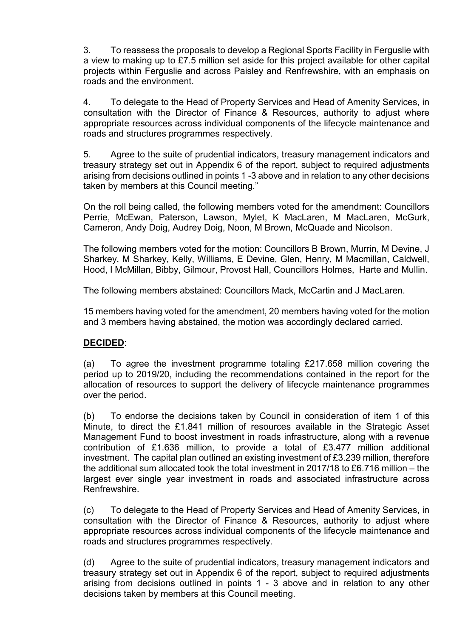3. To reassess the proposals to develop a Regional Sports Facility in Ferguslie with a view to making up to £7.5 million set aside for this project available for other capital projects within Ferguslie and across Paisley and Renfrewshire, with an emphasis on roads and the environment.

4. To delegate to the Head of Property Services and Head of Amenity Services, in consultation with the Director of Finance & Resources, authority to adjust where appropriate resources across individual components of the lifecycle maintenance and roads and structures programmes respectively.

5. Agree to the suite of prudential indicators, treasury management indicators and treasury strategy set out in Appendix 6 of the report, subject to required adjustments arising from decisions outlined in points 1 -3 above and in relation to any other decisions taken by members at this Council meeting."

On the roll being called, the following members voted for the amendment: Councillors Perrie, McEwan, Paterson, Lawson, Mylet, K MacLaren, M MacLaren, McGurk, Cameron, Andy Doig, Audrey Doig, Noon, M Brown, McQuade and Nicolson.

The following members voted for the motion: Councillors B Brown, Murrin, M Devine, J Sharkey, M Sharkey, Kelly, Williams, E Devine, Glen, Henry, M Macmillan, Caldwell, Hood, I McMillan, Bibby, Gilmour, Provost Hall, Councillors Holmes, Harte and Mullin.

The following members abstained: Councillors Mack, McCartin and J MacLaren.

15 members having voted for the amendment, 20 members having voted for the motion and 3 members having abstained, the motion was accordingly declared carried.

#### **DECIDED**:

(a) To agree the investment programme totaling £217.658 million covering the period up to 2019/20, including the recommendations contained in the report for the allocation of resources to support the delivery of lifecycle maintenance programmes over the period.

(b) To endorse the decisions taken by Council in consideration of item 1 of this Minute, to direct the £1.841 million of resources available in the Strategic Asset Management Fund to boost investment in roads infrastructure, along with a revenue contribution of £1.636 million, to provide a total of £3.477 million additional investment. The capital plan outlined an existing investment of £3.239 million, therefore the additional sum allocated took the total investment in 2017/18 to £6.716 million – the largest ever single year investment in roads and associated infrastructure across Renfrewshire.

(c) To delegate to the Head of Property Services and Head of Amenity Services, in consultation with the Director of Finance & Resources, authority to adjust where appropriate resources across individual components of the lifecycle maintenance and roads and structures programmes respectively.

(d) Agree to the suite of prudential indicators, treasury management indicators and treasury strategy set out in Appendix 6 of the report, subject to required adjustments arising from decisions outlined in points 1 - 3 above and in relation to any other decisions taken by members at this Council meeting.